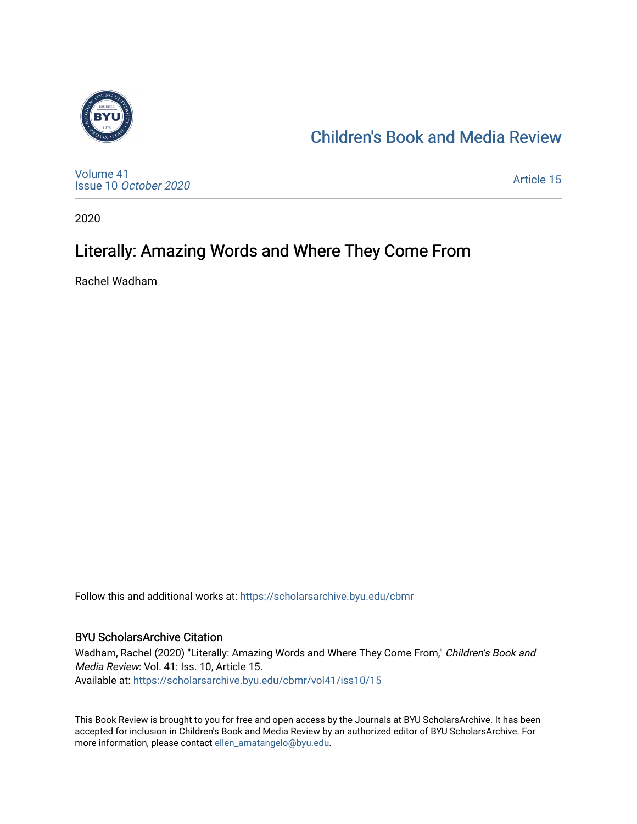

## [Children's Book and Media Review](https://scholarsarchive.byu.edu/cbmr)

[Volume 41](https://scholarsarchive.byu.edu/cbmr/vol41) Issue 10 [October 2020](https://scholarsarchive.byu.edu/cbmr/vol41/iss10)

[Article 15](https://scholarsarchive.byu.edu/cbmr/vol41/iss10/15) 

2020

## Literally: Amazing Words and Where They Come From

Rachel Wadham

Follow this and additional works at: [https://scholarsarchive.byu.edu/cbmr](https://scholarsarchive.byu.edu/cbmr?utm_source=scholarsarchive.byu.edu%2Fcbmr%2Fvol41%2Fiss10%2F15&utm_medium=PDF&utm_campaign=PDFCoverPages) 

#### BYU ScholarsArchive Citation

Wadham, Rachel (2020) "Literally: Amazing Words and Where They Come From," Children's Book and Media Review: Vol. 41: Iss. 10, Article 15. Available at: [https://scholarsarchive.byu.edu/cbmr/vol41/iss10/15](https://scholarsarchive.byu.edu/cbmr/vol41/iss10/15?utm_source=scholarsarchive.byu.edu%2Fcbmr%2Fvol41%2Fiss10%2F15&utm_medium=PDF&utm_campaign=PDFCoverPages) 

This Book Review is brought to you for free and open access by the Journals at BYU ScholarsArchive. It has been accepted for inclusion in Children's Book and Media Review by an authorized editor of BYU ScholarsArchive. For more information, please contact [ellen\\_amatangelo@byu.edu.](mailto:ellen_amatangelo@byu.edu)